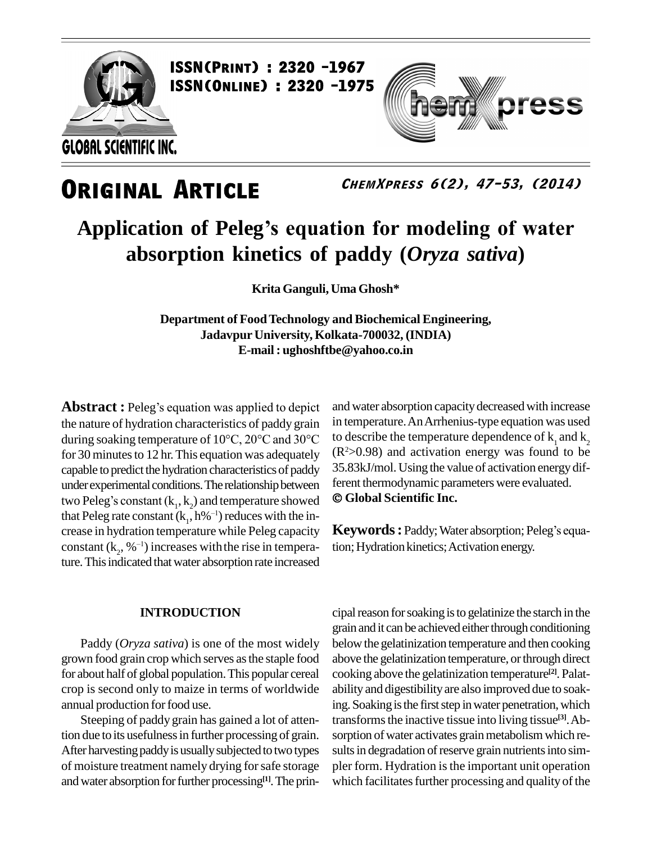

press

**ChemXpress 6(2), 47-53, (2014)**

# **Application of Pelegís equation for modeling of water absorption kinetics of paddy (***Oryza sativa***)**

**Krita Ganguli, Uma Ghosh\***

**Department of FoodTechnology and Biochemical Engineering, Jadavpur University, Kolkata-700032, (INDIA) E-mail: [ughoshftbe@yahoo.co.in](mailto:ughoshftbe@yahoo.co.in)**

**Abstract :** Peleg's equation was applied to depict the nature of hydration characteristics of paddy grain in temp **Abstract :** Peleg's equation was applied to depict and water<br>the nature of hydration characteristics of paddy grain in tempera<br>during soaking temperature of 10°C, 20°C and 30°C to describ for 30 minutes to 12 hr. This equation was adequately capable to predict the hydration characteristics of paddy 35.83kJ/mol. Using the value of activation energy under experimental conditions. The relationship between ferent thermodynamic parameters were evaluated. under experimental conditions. The relationship between capable to predict the hydration characteristics of paddy  $35.83k$ <br>under experimental conditions. The relationship between ferent t<br>two Peleg's constant (k<sub>1</sub>, k<sub>2</sub>) and temperature showed  $\odot$  Glo two Peleg's constant  $(k_1, k_2)$  and temperature showed  $\quad \bullet \mathbf{C}$ <br>that Peleg rate constant  $(k_1, h\%^{-1})$  reduces with the increase in hydration temperature while Peleg capacity crease in hydration temperature while Peleg capacity<br>constant  $(k_2, \mathcal{N}^{-1})$  increases with the rise in temperature. This indicated that water absorption rate increased

### **INTRODUCTION**

Paddy (*Oryza sativa*) is one of the most widely grown food grain crop which serves asthe staple food for about half of global population.This popular cereal crop is second only to maize in terms of worldwide annual production forfood use.

Steeping of paddy grain has gained a lot of atten-After harvesting paddy is usually subjected to two types of moisture treatment namely drying forsafe storage and water absorption for further processing<sup>[1]</sup>. The prin-

and water absorption capacity decreased with increase in temperature.AnArrhenius-type equation was used to describe the temperature dependence of  $k_1$  and  $k_2$  $(R<sup>2</sup> > 0.98)$  and activation energy was found to be 35.83kJ/mol. Using the value of activation energy dif-ferent thermodynamic parameters were evaluated. **Global Scientific Inc.**

**Keywords:** Paddy; Water absorption; Peleg's equation; Hydration kinetics; Activation energy.

tion due to its usefulness in further processing of grain. sorption of water activates grain metabolism which recipal reason for soaking is to gelatinize the starch in the grain and it can be achieved either through conditioning belowthe gelatinization temperature and then cooking above the gelatinization temperature, or through direct cooking above the gelatinization temperature **[2]**. Palat ability and digestibilityare also improved due to soaking. Soaking is the first step in water penetration, which transforms the inactive tissue into living tissue<sup>[3]</sup>. Absults in degradation of reserve grain nutrients into simpler form. Hydration is the important unit operation which facilitates further processing and quality of the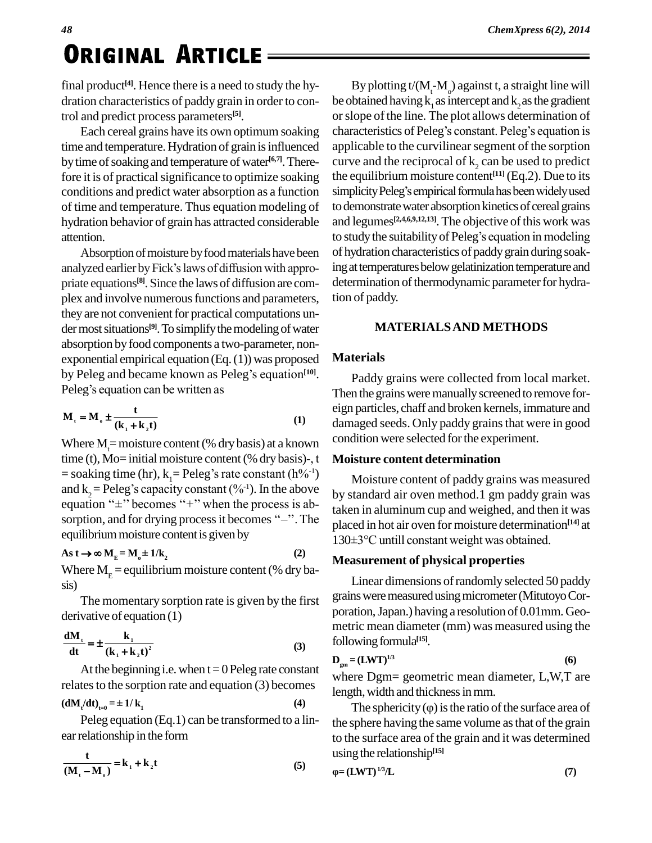## **ORIGINAL ARTICLE**

final product **[4]**. Hence there is a need to study the hy dration characteristics of paddy grain in order to control and predict process parameters **[5]**.

time and temperature. Hydration of grain is influenced by time of soaking and temperature of water<sup>[6,7]</sup>. Therefore it is of practical significance to optimize soaking conditions and predict water absorption as a function simplicity Peleg's empirical formula has been widely used of time and temperature. Thus equation modeling of hydration behavior of grain has attracted considerable attention.

Absorption of moisture by food materials have been priate equations **[8]**. Since the laws of diffusion are com plex and involve numerous functions and parameters, they are not convenient for practical computations under most situations<sup>[9]</sup>. To simplify the modeling of water absorption byfood components a two-parameter, non exponential empirical equation  $(Eq. (1))$  was proposed absorption by food components a two-parameter, non-<br>exponential empirical equation (Eq. (1)) was proposed **Ma**<br>by Peleg and became known as Peleg's equation<sup>[10]</sup>. exponential empirical equation (Eq. (1)) w<br>by Peleg and became known as Peleg's<br>Peleg's equation can be written as

Peleg's equation can be written as  
\n
$$
M_{t} = M_{0} \pm \frac{t}{(k_{1} + k_{2}t)}
$$
\n(1)

Where  $M_t$  = moisture content (% dry basis) at a known condition  $\begin{array}{cc}\n & \text{(k}_1 + \text{k}_2 \text{t}) & \text{(1)} \\
 \text{Where } M = \text{moisture content} (\% \text{ dry basis}) \text{ at a known} & \text{coit}\n \end{array}$ <br>
time (t), Mo= initial moisture content (% dry basis)-, t Where  $M_t$ = moisture content (% dry basis) at a known<br>time (t), Mo= initial moisture content (% dry basis)-, t<br>= soaking time (hr), k<sub>1</sub>= Peleg's rate constant (h%<sup>-1</sup>) time (t), Mo= initial moisture content (% dry basis)-, t<br>= soaking time (hr),  $k_1$ = Peleg's rate constant (h%<sup>-1</sup>)<br>and k<sub>2</sub> = Peleg's capacity constant (%<sup>-1</sup>). In the above = soaking time (hr),  $k_1$ = Peleg's rate constant (h%<sup>-1</sup>)<br>and  $k_2$ = Peleg's capacity constant (%<sup>-1</sup>). In the above<br>equation " $\pm$ " becomes "+" when the process is aband k<sub>2</sub> = Peleg's capacity constant (%<sup>-1</sup>). In the above<br>equation " $\pm$ " becomes "+" when the process is ab-<br>sorption, and for drying process it becomes "-". The **equilibrium moisture content is given by<br>
<b>As**  $\mathbf{t} \to \infty \mathbf{M}_{\mathbf{E}} = \mathbf{M}_{\mathbf{0}} \pm 1/\mathbf{k}_{2}$  (2)

$$
As t \to \infty M_E = M_o \pm 1/k_2
$$
 (2)

Where  $M_E$  = equilibrium moisture content (% dry ba-<br>sis)

The momentary sorption rate is given by the first derivative of equation (1)

derivative of equation (1)  
\n
$$
\frac{dM_t}{dt} = \pm \frac{k_1}{(k_1 + k_2 t)^2}
$$
\n(3)

At the beginning i.e. when  $t = 0$  Peleg rate constant relates to the sorption rate and equation (3) becomes<br>  $(dM_t/dt)_{t=0} = \pm 1/k_1$  (4)

$$
\left(\mathbf{d}\mathbf{M}_t/\mathbf{d}\mathbf{t}\right)_{t=0} = \pm 1/\mathbf{k}_1\tag{4}
$$

Peleg equation (Eq.1) can be transformed to a lin-

ear relationship in the form  
\n
$$
\frac{t}{(M_{t} - M_{o})} = k_{1} + k_{2}t
$$
\n(5)

Each cereal grains have its own optimum soaking characteristics of Peleg's constant. Peleg's equation is attention.<br>
analyzed earlier by Fick's laws of diffusion with appro-<br>
analyzed earlier by Fick's laws of diffusion with appro-<br>
ing at temperatures below gelatinization temperature and By plotting  $t/(M<sub>r</sub>-M<sub>o</sub>)$  against t, a straight line will be obtained having  $k_1$  as intercept and  $k_2$  as the gradient<br>or slope of the line. The plot allows determination of<br>characteristics of Peleg's constant. Peleg's equation is orslope ofthe line. The plot allows determination of applicable to the curvilinearsegment of the sorption curve and the reciprocal of  $k<sub>2</sub>$  can be used to predict the equilibrium moisture content **[11]** (Eq.2). Due to its curve and the reciprocal of  $k_2$  can be used to predict<br>the equilibrium moisture content<sup>[11]</sup> (Eq.2). Due to its<br>simplicity Peleg's empirical formula has been widely used to demonstrate water absorption kinetics of cereal grains and legumes **[2,4,6,9,12,13]**. The objective ofthis work was to demonstrate water absorption kinetics of cereal grains<br>and legumes<sup>[2,4,6,9,12,13]</sup>. The objective of this work was<br>to study the suitability of Peleg's equation in modeling of hydration characteristics of paddygrain during soaking at temperatures below gelatinization temperature and determination of thermodynamic parameter for hydration of paddy.

### **MATERIALSAND METHODS**

### **Materials**

Paddy grains were collected from local market. Then the grains were manually screened to remove foreign particles, chaff and broken kernels, immature and damaged seeds. Only paddy grains that were in good condition were selected for the experiment.

### **Moisture content determination**

Moisture content of paddy grains was measured by standard air oven method.1 gm paddy grain was taken in aluminum cup and weighed, and then it was<br>placed in hot air oven for moisture determination<sup>[14]</sup> at<br>130±3°C untill constant weight was obtained. placed in hot air oven for moisture determination **[14]** at

### **Measurement of physical properties**

Linear dimensions ofrandomly selected 50 paddy grains were measured using micrometer (Mitutoyo Corporation,Japan.) having a resolution of 0.01mm. Geo metric mean diameter (mm) was measured using the following formula<sup>[15]</sup>.

$$
\mathbf{D}_{gm} = (\mathbf{LWT})^{1/3} \tag{6}
$$

where Dgm= geometric mean diameter, L,W,T are length, width and thickness in mm.

The sphericity  $(\varphi)$  is the ratio of the surface area of the sphere having the same volume as that of the grain to the surface area of the grain and it was determined **ˆ**using the relationship<sup>[15]</sup>

$$
\varphi = (LWT)^{1/3}/L\tag{7}
$$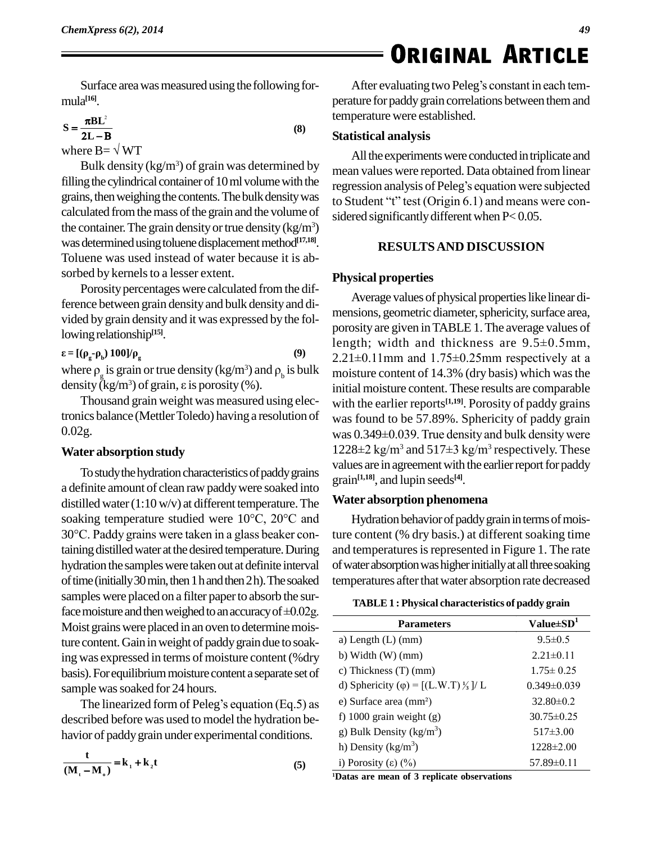# $\equiv$  ORIGINAL ARTICLE<br>After evaluating two Peleg's constant in each tem-

Surface area was measured using the following for $mula^{[16]}$ . Ĩ

$$
S = \frac{\pi B L^2}{2L - B}
$$
 (8)

where  $B = \sqrt{WT}$ 

Bulk density ( $kg/m<sup>3</sup>$ ) of grain was determined by filling the cylindrical container of  $10 \text{ ml}$  volume with the grains, then weighing the contents. The bulk density was to Student "t" test (Origin 6.1) and means were concalculated from the mass of the grain and the volume of the container. The grain density or true density  $(kg/m<sup>3</sup>)$ was determined using toluene displacement method<sup>[17,18]</sup>. Toluene was used instead of water because it is ab sorbed by kernels to a lesser extent.

Porosity percentages were calculated from the difference between grain densityand bulk densityand di-vided by grain density and it was expressed by the fol- $\epsilon = [(\rho_{\rm g} - \rho_{\rm b}) 100]/\rho_{\rm g}$  (9)

$$
\varepsilon = [(\rho_{\rm g} - \rho_{\rm b}) \ 100] / \rho_{\rm g} \tag{9}
$$

Iowing relationship<sup>(15)</sup>.<br>  $\epsilon = [(\rho_g \cdot \rho_b) 100]/\rho_g$  (9)  $2.21 \pm C$ <br>
where  $\rho_g$  is grain or true density (kg/m<sup>3</sup>) and  $\rho_b$  is bulk moistu  $\epsilon = [(\rho_{\rm g} - \rho_{\rm b}) 100]/\rho_{\rm g}$  (9) 2.<br>where  $\rho_{\rm g}$  is grain or true density (kg/m<sup>3</sup>) and  $\rho_{\rm b}$  is bulk m<br>density (kg/m<sup>3</sup>) of grain,  $\epsilon$  is porosity (%). in<br>Thousand grain weight was measured using elec-

tronics balance (MettlerToledo) having a resolution of 0.02g.

### **Water absorption study**

To study the hydration characteristics of paddy grains a definite amount of clean raw paddywere soaked into distilled water  $(1:10 \text{ w/v})$  at different temperature. The **Wate** a definite amount of clean raw paddy were soaked into<br>distilled water  $(1:10 \text{ w/v})$  at different temperature. The **Water**<br>soaking temperature studied were  $10^{\circ}\text{C}$ ,  $20^{\circ}\text{C}$  and Hy distilled water  $(1:10 \text{ w/v})$  at different temperature. The soaking temperature studied were  $10^{\circ}$ C,  $20^{\circ}$ C and  $30^{\circ}$ C. Paddy grains were taken in a glass beaker containing distilled water at the desired temperature. During hydration the samples were taken out at definite interval of time (initially 30 min, then 1 h and then  $2h$ ). The soaked samples were placed on a filter paperto absorb the surof time (initially 30 min, then 1 h and then 2 h). The soaked tesamples were placed on a filter paper to absorb the surface moisture and then weighed to an accuracy of  $\pm 0.02g$ . Moist grains were placed in an oven to determine moisture content. Gain in weight of paddy grain due to soaking was expressed in terms of moisture content (%dry basis). For equilibrium moisture content a separate set of sample was soaked for 24 hours.

The linearized form of Peleg's equation  $(Eq.5)$  as described before was used to model the hydration be-

haviour of paddy grain under experimental conditions.

\n
$$
\frac{\mathbf{t}}{(\mathbf{M}_{\mathbf{t}} - \mathbf{M}_{\mathbf{0}})} = \mathbf{k}_{1} + \mathbf{k}_{2} \mathbf{t}
$$
\n(5)

\n
$$
\frac{1}{\mathbf{I}_{\mathbf{0}}} = \mathbf{K}_{\mathbf{0}} + \mathbf{K}_{\mathbf{0}} \mathbf{t}
$$

perature for paddy grain correlations between them and temperature were established.

#### **Statistical analysis**

All the experiments were conducted in triplicate and mean values were reported. Data obtained fromlinear All the experiments were conducted in triplicate and<br>mean values were reported. Data obtained from linear<br>regression analysis of Peleg's equation were subjected regression analysis of Peleg's equation were subjected sidered significantly different when P< 0.05.

### **RESULTSAND DISCUSSION**

#### **Physical properties**

Average values of physical properties like linear dimensions, geometric diameter, sphericity, surface area, porosity are given inTABLE 1.The average values of mensions, geometric diameter, sphericity, surface area,<br>porosity are given in TABLE 1. The average values of<br>length; width and thickness are 9.5±0.5mm, porosity are given in TABLE 1. The average values of<br>length; width and thickness are 9.5±0.5mm,<br>2.21±0.11mm and 1.75±0.25mm respectively at a moisture content of 14.3% (dry basis) which was the initial moisture content.These results are comparable with the earlier reports<sup>[1,19]</sup>. Porosity of paddy grains<br>was found to be 57.89%. Sphericity of paddy grain<br>was 0.349±0.039. True density and bulk density were was found to be 57.89%. Sphericity of paddy grain<br>was 0.349±0.039. True density and bulk density were<br>1228±2 kg/m<sup>3</sup> and 517±3 kg/m<sup>3</sup> respectively. These values are in agreement with the earlier report for paddy grain **[1,18]**, and lupin seeds **[4]**.

#### **Water absorption phenomena**

Hydration behavior of paddy grain in terms of moisture content (% dry basis.) at different soaking time and temperatures is represented in Figure 1. The rate of water absorption was higher initially at all three soaking temperatures after that water absorption rate decreased

| <b>TABLE 1: Physical characteristics of paddy grain</b>   |                   |  |  |
|-----------------------------------------------------------|-------------------|--|--|
| <b>Parameters</b>                                         | Value $\pm SD^1$  |  |  |
| a) Length $(L)$ (mm)                                      | $9.5 \pm 0.5$     |  |  |
| b) Width $(W)$ (mm)                                       | $2.21 \pm 0.11$   |  |  |
| c) Thickness $(T)$ (mm)                                   | $1.75 \pm 0.25$   |  |  |
| d) Sphericity ( $\varphi$ ) = [(L.W.T) $\frac{1}{3}$ ]/ L | $0.349 \pm 0.039$ |  |  |
| e) Surface area $(mm2)$                                   | $32.80 \pm 0.2$   |  |  |
| f) 1000 grain weight $(g)$                                | $30.75 \pm 0.25$  |  |  |
| g) Bulk Density ( $kg/m3$ )                               | $517\pm3.00$      |  |  |
| h) Density ( $\text{kg/m}^3$ )                            | $1228 \pm 2.00$   |  |  |
| i) Porosity $(\epsilon)$ $(\%)$                           | $57.89\pm0.11$    |  |  |

**<sup>1</sup>Datas are mean of 3 replicate observations**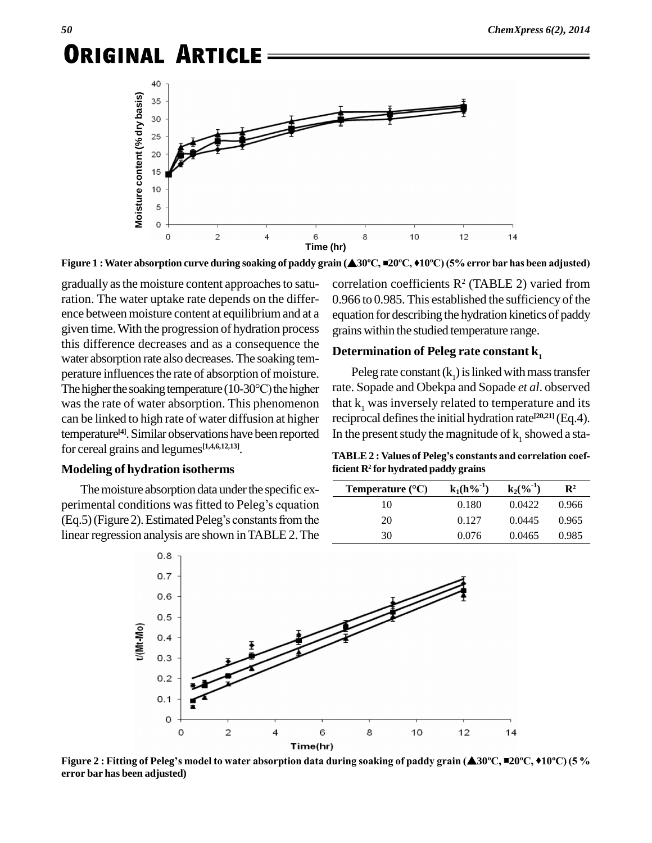

gradually as the moisture content approaches to saturation. The water uptake rate depends on the differ ence between moisture content at equilibrium and at a given time.With the progression of hydration process this difference decreases and as a consequence the water absorption rate also decreases.The soaking tem perature influences the rate of absorption of moisture. The higher the soaking temperature  $(10\text{-}30\text{°C})$  the higher was the rate of water absorption. This phenomenon can be linked to high rate of water diffusion at higher temperature<sup>[4]</sup>. Similar observations have been reported In the p for cereal grains and legumes **[1,4,6,12,13]**.

#### **Modeling of hydration isotherms**

The moisture absorption data under the specific ex-Modeling of hydration isotherms<br>The moisture absorption data under the specific ex-<br>perimental conditions was fitted to Peleg's equation The moisture absorption data under the specific experimental conditions was fitted to Peleg's equation (Eq.5) (Figure 2). Estimated Peleg's constants from the linear regression analysis are shown in TABLE 2. The

correlation coefficients  $\mathbb{R}^2$  (TABLE 2) varied from 0.966 to 0.985. This established the sufficiency of the equation for describing the hydration kinetics of paddy grains within the studied temperature range.

#### **Determination of Peleg rate constant k<sup>1</sup>**

Peleg rate constant  $(k_1)$  is linked with mass transfer rate. Sopade and Obekpa and Sopade *et al*. observed that  $k<sub>1</sub>$  was inversely related to temperature and its reciprocal defines the initial hydration rate<sup>[20,21]</sup> (Eq.4). In the present study the magnitude of  $k_1$  showed a sta-<br>**TABLE 2** : **Values of Peleg**'s constants and correlation coef-

**ficient R**<sup>2</sup> **for hydrated paddy grains**<br> **Temperature**  $({}^{\circ}C)$  **k**<sub>1</sub>(**h**%<sup>-1</sup>) **k**<sub>2</sub>(%<sup>-1</sup>) **R**<sup>2</sup>

| Temperature (°C) | $k_1(h\%^{-1})$ | $k_2(\%^{-1})$ | $\mathbf{R}^2$ |
|------------------|-----------------|----------------|----------------|
| 10               | 0.180           | 0.0422         | 0.966          |
| 20               | 0.127           | 0.0445         | 0.965          |
| 30               | 0.076           | 0.0465         | 0.985          |



**error bar has been adjusted)**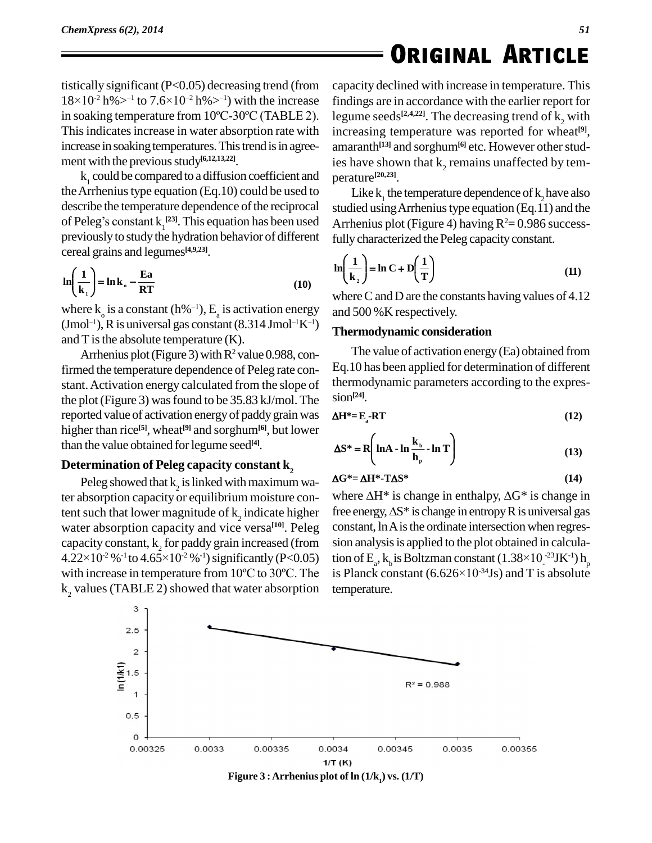## **ORIGINAL ARTICLE**

tistically significant ( $P < 0.05$ ) decreasing trend (from capacity dec tistically significant (P<0.05) decreasing trend (from capac  $18\times10^{-2}$  h% $>1$  to  $7.6\times10^{-2}$  h% $>1$ ) with the increase findin tistically significant (P<0.05) decreasing trend (from capace  $18\times10^{-2}$  h% $>1$  to  $7.6\times10^{-2}$  h% $>1$ ) with the increase findir in soaking temperature from  $10^{\circ}$ C-30°C (TABLE 2). legun This indicates increase in water absorption rate with increase in soaking temperatures. This trend is in agreement with the previous study<sup>[6,12,13,22]</sup>.

 $k<sub>1</sub>$  could be compared to a diffusion coefficient and the Arrhenius type equation (Eq.10) could be used to describe the temperature dependence of the reciprocal the Arrhenius type equation (Eq.10) could be used to<br>describe the temperature dependence of the reciprocal studied<br>of Peleg's constant  $k_1^{[23]}$ . This equation has been used Arrhen previously to study the hydration behavior of different  $\overline{a}$  $\overline{r}$ 

$$
\text{1} \quad \text{1} \quad \text{1} \quad \text{1} \quad \text{1} \quad \text{1}
$$
\n
$$
\ln \left( \frac{1}{\mathbf{k}_1} \right) = \ln \mathbf{k}_s - \frac{\mathbf{E} \mathbf{a}}{\mathbf{R} \mathbf{T}} \tag{10}
$$

 $\begin{array}{ll}\n\text{(a)} & \text{where } \\ \n\text{where } k_0 \text{ is a constant (h\%^{-1}), } E_a \text{ is activation energy} & \text{and } 500\n\end{array}$ where k<sub>o</sub> is a constant (h%<sup>-1</sup>), E<sub>a</sub> is activation energy and<br>(Jmol<sup>-1</sup>), R is universal gas constant (8.314 Jmol<sup>-1</sup>K<sup>-1</sup>) and  $T$  is the absolute temperature  $(K)$ .

Arrhenius plot (Figure 3) with  $R^2$  value 0.988, confirmed the temperature dependence of Peleg rate con stant.Activation energy calculated from the slope of the plot(Figure 3) wasfound to be 35.83 kJ/mol. The reported value of activation energyof paddygrain was higher than rice **[5]**, wheat **[9]** and sorghum**[6]**, but lower than the value obtained for legume seed<sup>[4]</sup>.

### **Determination of Peleg capacity constant k<sup>2</sup>**

Peleg showed that  $k_2$  is linked with maximum water absorption capacity or equilibrium moisture content such that lower magnitude of  $k_2$  indicate higher free water absorption capacity and vice versa<sup>[10]</sup>. Peleg constan<br>capacity constant,  $k_2$  for paddy grain increased (from sion an<br>4.22×10<sup>-2</sup> %<sup>-1</sup> to 4.65×10<sup>-2</sup> %<sup>-1</sup>) significantly (P<0.05) tion of capacity constant,  $k<sub>2</sub>$  for paddy grain increased (from  $-2\%$ <sup>-1</sup> to  $4.65\times10^{-2}\%$  <sup>-1</sup>) significantly (P<0.05) tion with increase in temperature from  $10^{\circ}$ C to  $30^{\circ}$ C. The  $k<sub>2</sub>$  values (TABLE 2) showed that water absorption

capacity declined with increase in temperature. This findings are in accordance with the earlier report for legume seeds<sup>[2,4,22]</sup>. The decreasing trend of  $k_2$  with increasing temperature was reported for wheat **[9]**, amaranth<sup>[13]</sup> and sorghum<sup>[6]</sup> etc. However other studies have shown that  $k<sub>2</sub>$  remains unaffected by tem-**[20,23]**.

Like  $k_1$  the temperature dependence of  $k_2$  have also studied using Arrhenius type equation (Eq.11) and the Arrhenius plot (Figure 4) having  $R^2 = 0.986$  successï  $\overline{1}$ 

fully characterized the Peleg capacity constant.  
\n
$$
\ln\left(\frac{1}{k_2}\right) = \ln C + D\left(\frac{1}{T}\right)
$$
\n(11)

where C and D are the constants having values of  $4.12$ and 500 %K respectively.

#### **Thermodynamic consideration**

The value of activation energy(Ea) obtained from Eq.10 has been applied for determination of different thermodynamic parameters according to the expres-  $\sin^{-124}$ .

$$
\Delta H^* = E_a - RT \tag{12}
$$

$$
\Delta S^* = R \left( \ln A - \ln \frac{k_b}{h_p} - \ln T \right)
$$
(13)  

$$
\Delta G^* = \Delta H^* - T \Delta S^*
$$
(14)

$$
\Delta G^* = \Delta H^* - T\Delta S^* \tag{14}
$$

 $\Delta G^* = \Delta H^* - T \Delta S^*$  (14)<br>where  $\Delta H^*$  is change in enthalpy,  $\Delta G^*$  is change in  $\Delta G^* = \Delta H^*$ -T $\Delta S^*$  (14)<br>where  $\Delta H^*$  is change in enthalpy,  $\Delta G^*$  is change in<br>free energy,  $\Delta S^*$  is change in entropy R is universal gas constant, ln A is the ordinate intersection when regression analysis is applied to the plot obtained in calculaconstant, ln A is the ordinate intersection when regression analysis is applied to the plot obtained in calculation of  $E_a$ ,  $k_b$  is Boltzman constant  $(1.38 \times 10^{-23} J K^{-1}) h_p$  $-34$ Js) and T is absolute p sion analysis is applied to the plot obtain<br>tion of  $E_a$ ,  $k_b$  is Boltzman constant (1.38)<br>is Planck constant (6.626×10<sup>-34</sup>Js) and temperature.



**Figure**  $3:$  **Arrhenius** plot of  $\ln(1/k)$  vs.  $(1/T)$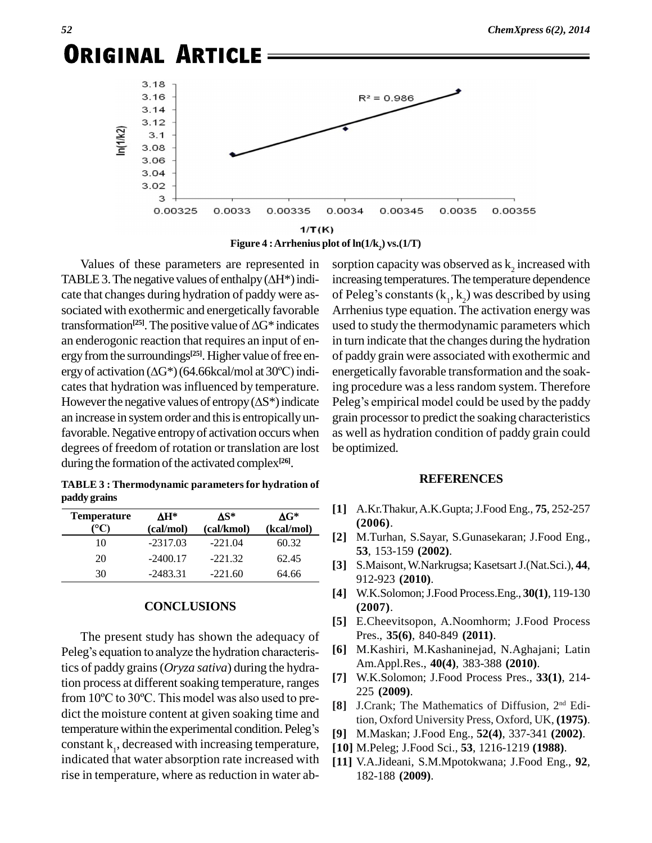**ORIGINAL ARTICLE**  $3.18$  $3.16$  $R^2 = 0.986$  $3.14$  $3.12$  $n(1/k2)$  $3.1$ 3.08 3.06  $3.04$ 3.02 3 0.00325 0.0033 0.00335 0.0034 0.00345 0.0035 0.00355  $1/T(K)$ 

**Figure** 4 **:** Arrhenius plot of  $ln(1/k_2)$  **vs.**( $1/T$ )

Values of these parameters are represented in TABLE 3. The negative values of enthalpy  $(\Delta H^*)$  indicate that changes during hydration of paddy were as sociated with exothermic and energetically favorable Arrhe transformation<sup>[25]</sup>. The positive value of  $\Delta G^*$  indicates ges during hydration of paddy were as-<br>exothermic and energetically favorable Arrh<br><sup>[25]</sup>. The positive value of  $\Delta G^*$  indicates used an enderogonic reaction that requires an input of energy from the surroundings<sup>[25]</sup>. Higher value of free en- of p an enderogonic reaction that requires an input of en-<br>ergy from the surroundings<sup>[25]</sup>. Higher value of free en-<br>ergy of activation  $(\Delta G^*)(64.66kcal/mol)$  at 30°C) indicates that hydration was influenced by temperature. ergy of activation  $(\Delta G^*)(64.66 \text{kcal/mol})$  at 30°C) indi-<br>cates that hydration was influenced by temperature. ing pr<br>However the negative values of entropy ( $\Delta S^*)$  indicate Peleg an increase in system order and this is entropically unfavorable. Negative entropy of activation occurs when degrees of freedom of rotation or translation are lost during the formation of the activated complex<sup>[26]</sup>.

**TABLE 3 : Thermodynamic parameters for hydration of paddy grains**

| paddy grains       |                                        |                   |                            |
|--------------------|----------------------------------------|-------------------|----------------------------|
| <b>Temperature</b> | $\mathbf{A} \mathbf{H}^*$<br>(cal/mol) | ∧S*<br>(cal/kmol) | $\Delta G^*$<br>(kcal/mol) |
| 10                 | $-2317.03$                             | $-221.04$         | 60.32                      |
| 20                 | $-2400.17$                             | $-221.32$         | 62.45                      |
| 30                 | $-2483.31$                             | $-221.60$         | 64.66                      |

#### **CONCLUSIONS**

The present study has shown the adequacy of Peleg's equation to analyze the hydration characteristics of paddy grains (*Oryza sativa*) during the hydra-<br>tion process at different soaking temperature, ranges [7]<br>from 10°C to 30°C. This model was also used to pretion process at different soaking temperature, ranges dict the moisture content at given soaking time and from  $10^{\circ}$ C to  $30^{\circ}$ C. This model was also used to predict the moisture content at given soaking time and temperature within the experimental condition. Peleg's constant  $k_1$ , decreased with increasing temperature,  $\begin{bmatrix} 1 \end{bmatrix}$ indicated that water absorption rate increased with rise in temperature, where as reduction in water ab-

sorption capacity was observed as  $\mathbf{k}_2$  increased with increasing temperatures.The temperature dependence sorption capacity was observed as  $k_2$  increased with<br>increasing temperatures. The temperature dependence<br>of Peleg's constants  $(k_1, k_2)$  was described by using Arrhenius type equation. The activation energy was used to study the thermodynamic parameters which in turn indicate that the changes during the hydration of paddy grain were associated with exothermic and energetically favorable transformation and the soaking procedure was a less random system. Therefore Peleg's empirical model could be used by the paddy grain processor to predict the soaking characteristics as well as hydration condition of paddy grain could be optimized.

#### **REFERENCES**

- **[1]** A.Kr.Thakur,A.K.Gupta;J.Food Eng., **75**, 252-257 **(2006)**.
- **[2]** M.Turhan, S.Sayar, S.Gunasekaran; J.Food Eng., **53**, 153-159 **(2002)**.
- **[3]** S.Maisont,W.Narkrugsa; KasetsartJ.(Nat.Sci.), **44**, 912-923 **(2010)**.
- **[4]** W.K.Solomon;J.Food Process.Eng., **30(1)**, 119-130 **(2007)**.
- **[5]** E.Cheevitsopon, A.Noomhorm; J.Food Process Pres., **35(6)**, 840-849 **(2011)**.
- **[6]** M.Kashiri, M.Kashaninejad, N.Aghajani; Latin Am.Appl.Res., **40(4)**, 383-388 **(2010)**.
- **[7]** W.K.Solomon; J.Food Process Pres., **33(1)**, 214- 225 **(2009)**.
- [8] J.Crank; The Mathematics of Diffusion, 2<sup>nd</sup> Edition, Oxford University Press, Oxford, UK, **(1975)**.
- **[9]** M.Maskan; J.Food Eng., **52(4)**, 337-341 **(2002)**.
- **[10]** M.Peleg; J.Food Sci., **53**, 1216-1219 **(1988)**.
- **[11]** V.A.Jideani, S.M.Mpotokwana; J.Food Eng., **92**, 182-188 **(2009)**.